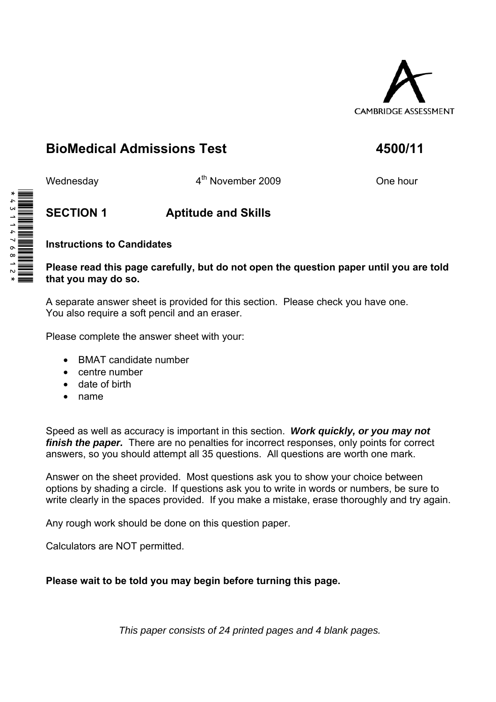

# **BioMedical Admissions Test 4500/11**

Wednesday **4<sup>th</sup> November 2009** One hour

# **SECTION 1 Aptitude and Skills**

### **Instructions to Candidates**

#### **Please read this page carefully, but do not open the question paper until you are told that you may do so.**

A separate answer sheet is provided for this section. Please check you have one. You also require a soft pencil and an eraser.

Please complete the answer sheet with your:

- BMAT candidate number
- centre number
- date of birth
- name

Speed as well as accuracy is important in this section. *Work quickly, or you may not finish the paper.* There are no penalties for incorrect responses, only points for correct answers, so you should attempt all 35 questions. All questions are worth one mark.

Answer on the sheet provided. Most questions ask you to show your choice between options by shading a circle. If questions ask you to write in words or numbers, be sure to write clearly in the spaces provided. If you make a mistake, erase thoroughly and try again.

Any rough work should be done on this question paper.

Calculators are NOT permitted.

#### **Please wait to be told you may begin before turning this page.**

*This paper consists of 24 printed pages and 4 blank pages.* 

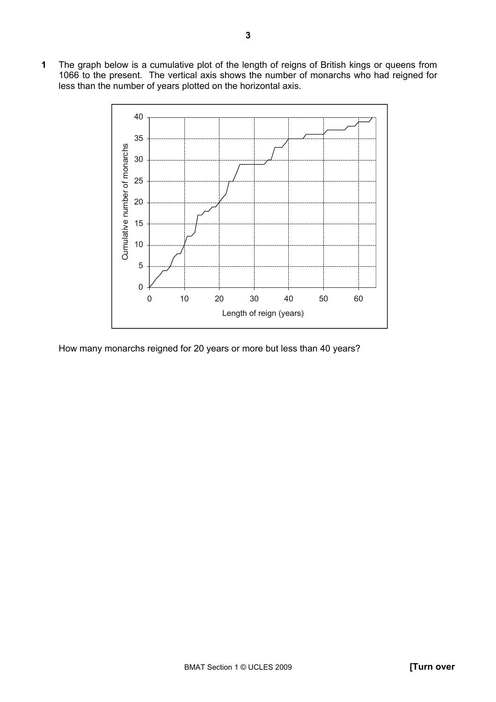The graph below is a cumulative plot of the length of reigns of British kings or queens from 1066 to the present. The vertical axis shows the number of monarchs who had reigned for less than the number of years plotted on the horizontal axis.



How many monarchs reigned for 20 years or more but less than 40 years?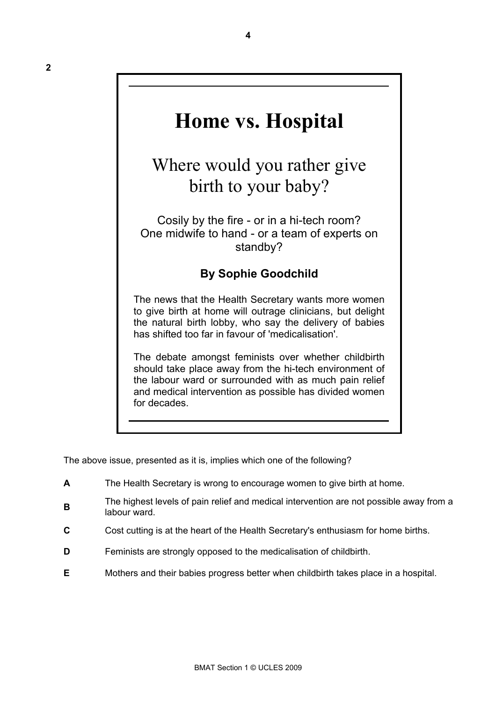# **Home vs. Hospital**

**4** 

Where would you rather give birth to your baby?

Cosily by the fire - or in a hi-tech room? One midwife to hand - or a team of experts on standby?

## **By Sophie Goodchild**

The news that the Health Secretary wants more women to give birth at home will outrage clinicians, but delight the natural birth lobby, who say the delivery of babies has shifted too far in favour of 'medicalisation'.

The debate amongst feminists over whether childbirth should take place away from the hi-tech environment of the labour ward or surrounded with as much pain relief and medical intervention as possible has divided women for decades.

The above issue, presented as it is, implies which one of the following?

- **A** The Health Secretary is wrong to encourage women to give birth at home.
- **B**The highest levels of pain relief and medical intervention are not possible away from a labour ward.
- **C** Cost cutting is at the heart of the Health Secretary's enthusiasm for home births.
- **D Feminists are strongly opposed to the medicalisation of childbirth.**
- **E** Mothers and their babies progress better when childbirth takes place in a hospital.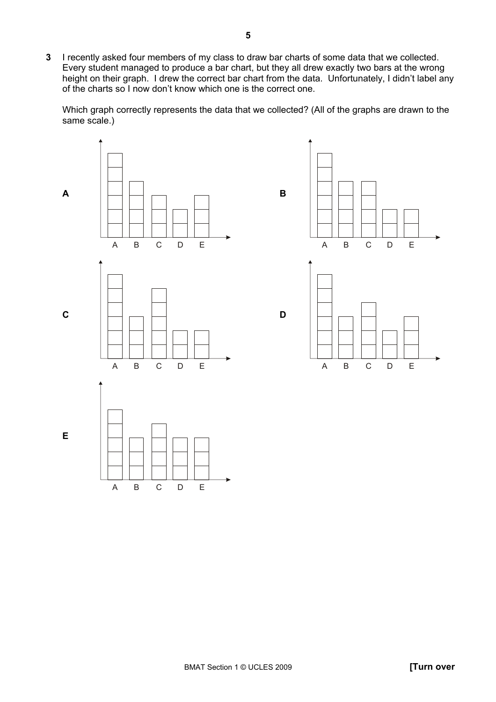**3** I recently asked four members of my class to draw bar charts of some data that we collected. Every student managed to produce a bar chart, but they all drew exactly two bars at the wrong height on their graph. I drew the correct bar chart from the data. Unfortunately, I didn't label any of the charts so I now donít know which one is the correct one.

Which graph correctly represents the data that we collected? (All of the graphs are drawn to the same scale.)

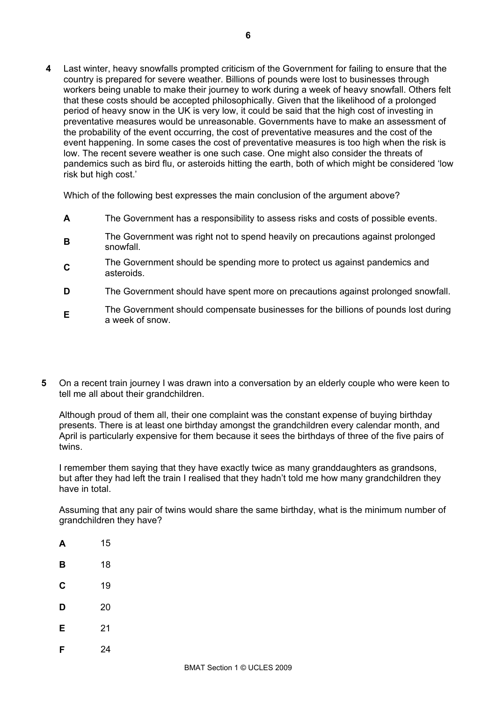**4** Last winter, heavy snowfalls prompted criticism of the Government for failing to ensure that the country is prepared for severe weather. Billions of pounds were lost to businesses through workers being unable to make their journey to work during a week of heavy snowfall. Others felt that these costs should be accepted philosophically. Given that the likelihood of a prolonged period of heavy snow in the UK is very low, it could be said that the high cost of investing in preventative measures would be unreasonable. Governments have to make an assessment of the probability of the event occurring, the cost of preventative measures and the cost of the event happening. In some cases the cost of preventative measures is too high when the risk is low. The recent severe weather is one such case. One might also consider the threats of pandemics such as bird flu, or asteroids hitting the earth, both of which might be considered 'low risk but high cost.'

Which of the following best expresses the main conclusion of the argument above?

- **A** The Government has a responsibility to assess risks and costs of possible events.
- **B**The Government was right not to spend heavily on precautions against prolonged snowfall.
- **C**<sub>The Government should be spending more to protect us against pandemics and</sub> asteroids.
- **D** The Government should have spent more on precautions against prolonged snowfall.
- **E**The Government should compensate businesses for the billions of pounds lost during a week of snow.
- **5** On a recent train journey I was drawn into a conversation by an elderly couple who were keen to tell me all about their grandchildren.

Although proud of them all, their one complaint was the constant expense of buying birthday presents. There is at least one birthday amongst the grandchildren every calendar month, and April is particularly expensive for them because it sees the birthdays of three of the five pairs of twins.

I remember them saying that they have exactly twice as many granddaughters as grandsons, but after they had left the train I realised that they hadn't told me how many grandchildren they have in total.

Assuming that any pair of twins would share the same birthday, what is the minimum number of grandchildren they have?

- **A** 15
- **B** 18
- **C** 19
- **D** 20
- **E** 21
- **F** 24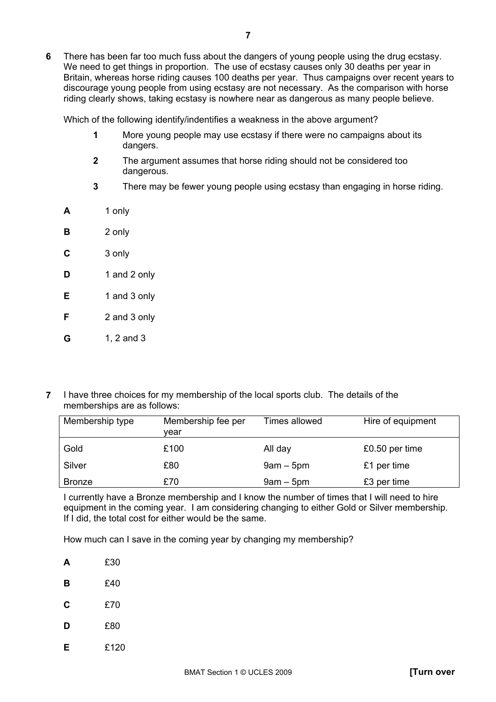Which of the following identify/indentifies a weakness in the above argument?

- **1** More young people may use ecstasy if there were no campaigns about its dangers.
- **2** The argument assumes that horse riding should not be considered too dangerous.
- **3** There may be fewer young people using ecstasy than engaging in horse riding.
- **A** 1 only
- **B** 2 only
- **C** 3 only
- **D** 1 and 2 only
- **E** 1 and 3 only
- **F** 2 and 3 only
- **G** 1, 2 and 3
- **7** I have three choices for my membership of the local sports club. The details of the memberships are as follows:

| Membership type | Membership fee per<br>vear | Times allowed | Hire of equipment |
|-----------------|----------------------------|---------------|-------------------|
| Gold            | £100                       | All day       | £0.50 per time    |
| Silver          | £80                        | $9am - 5pm$   | £1 per time       |
| <b>Bronze</b>   | £70                        | $9am - 5pm$   | £3 per time       |

I currently have a Bronze membership and I know the number of times that I will need to hire equipment in the coming year. I am considering changing to either Gold or Silver membership. If I did, the total cost for either would be the same.

How much can I save in the coming year by changing my membership?

- **A** £30
- **B** £40
- **C** £70
- **D** £80
- **E** £120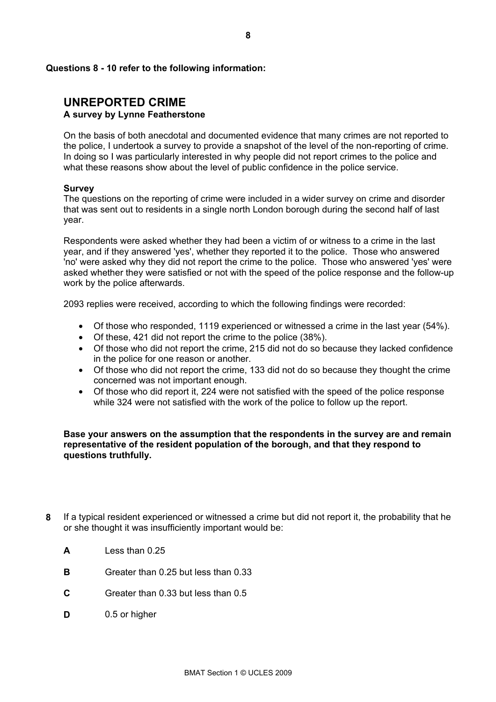#### **Questions 8 - 10 refer to the following information:**

#### **UNREPORTED CRIME A survey by Lynne Featherstone**

On the basis of both anecdotal and documented evidence that many crimes are not reported to the police, I undertook a survey to provide a snapshot of the level of the non-reporting of crime. In doing so I was particularly interested in why people did not report crimes to the police and what these reasons show about the level of public confidence in the police service.

#### **Survey**

The questions on the reporting of crime were included in a wider survey on crime and disorder that was sent out to residents in a single north London borough during the second half of last year.

Respondents were asked whether they had been a victim of or witness to a crime in the last year, and if they answered 'yes', whether they reported it to the police. Those who answered 'no' were asked why they did not report the crime to the police. Those who answered 'yes' were asked whether they were satisfied or not with the speed of the police response and the follow-up work by the police afterwards.

2093 replies were received, according to which the following findings were recorded:

- Of those who responded, 1119 experienced or witnessed a crime in the last year (54%).
- Of these, 421 did not report the crime to the police (38%).
- Of those who did not report the crime, 215 did not do so because they lacked confidence in the police for one reason or another.
- Of those who did not report the crime, 133 did not do so because they thought the crime concerned was not important enough.
- Of those who did report it, 224 were not satisfied with the speed of the police response while 324 were not satisfied with the work of the police to follow up the report.

**Base your answers on the assumption that the respondents in the survey are and remain representative of the resident population of the borough, and that they respond to questions truthfully.** 

- **8** If a typical resident experienced or witnessed a crime but did not report it, the probability that he or she thought it was insufficiently important would be:
	- **A** Less than 0.25
	- **B** Greater than 0.25 but less than 0.33
	- **C** Greater than 0.33 but less than 0.5
	- **D** 0.5 or higher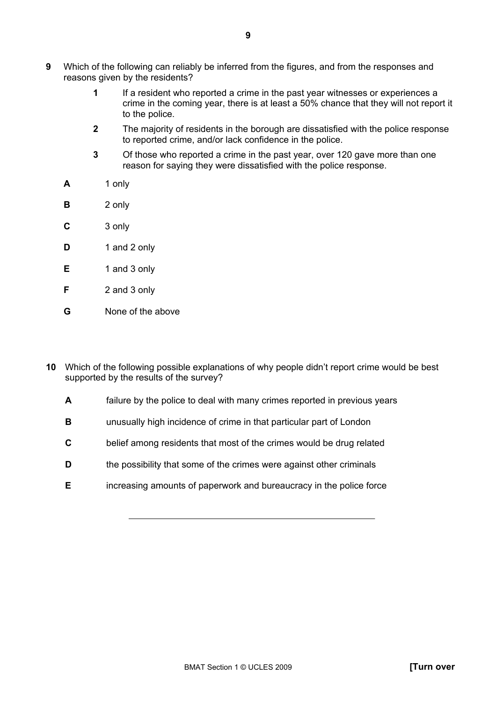- **9** Which of the following can reliably be inferred from the figures, and from the responses and reasons given by the residents?
	- **1** If a resident who reported a crime in the past year witnesses or experiences a crime in the coming year, there is at least a 50% chance that they will not report it to the police.
	- **2** The majority of residents in the borough are dissatisfied with the police response to reported crime, and/or lack confidence in the police.
	- **3** Of those who reported a crime in the past year, over 120 gave more than one reason for saying they were dissatisfied with the police response.
	- **A** 1 only
	- **B** 2 only
	- **C** 3 only
	- **D** 1 and 2 only
	- **E** 1 and 3 only
	- **F** 2 and 3 only
	- **G** None of the above
- **10** Which of the following possible explanations of why people didnít report crime would be best supported by the results of the survey?
	- **A** failure by the police to deal with many crimes reported in previous years
	- **B unusually high incidence of crime in that particular part of London**
	- **C** belief among residents that most of the crimes would be drug related
	- **D the possibility that some of the crimes were against other criminals**
	- **E** increasing amounts of paperwork and bureaucracy in the police force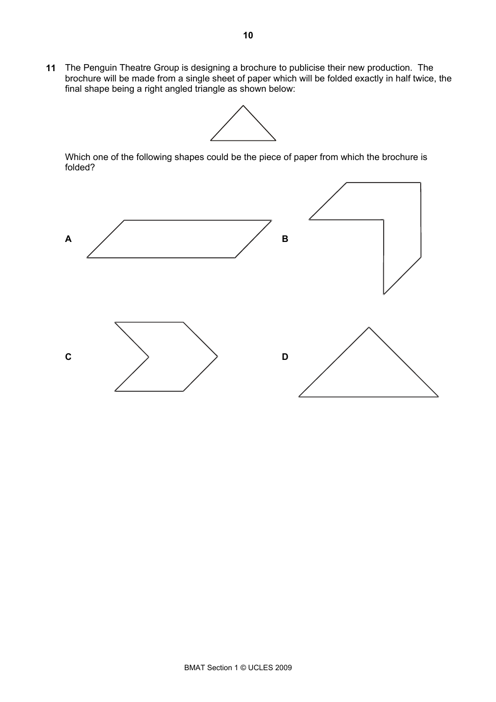**11** The Penguin Theatre Group is designing a brochure to publicise their new production. The brochure will be made from a single sheet of paper which will be folded exactly in half twice, the final shape being a right angled triangle as shown below:



Which one of the following shapes could be the piece of paper from which the brochure is folded?

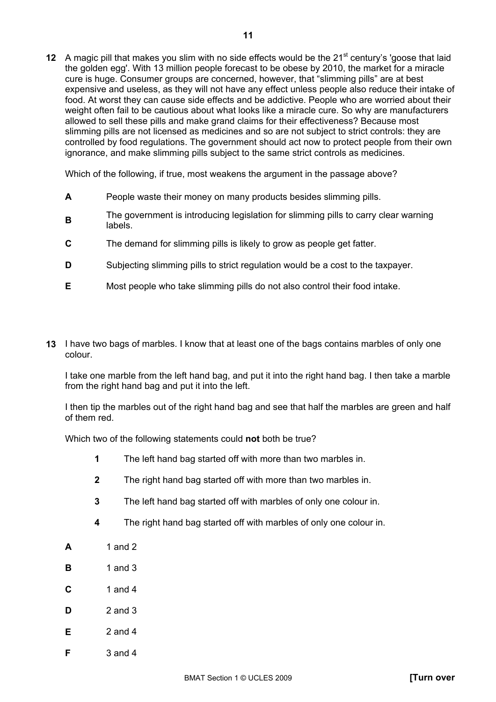**12** A magic pill that makes you slim with no side effects would be the 21<sup>st</sup> century's 'goose that laid the golden egg'. With 13 million people forecast to be obese by 2010, the market for a miracle cure is huge. Consumer groups are concerned, however, that "slimming pills" are at best expensive and useless, as they will not have any effect unless people also reduce their intake of food. At worst they can cause side effects and be addictive. People who are worried about their weight often fail to be cautious about what looks like a miracle cure. So why are manufacturers allowed to sell these pills and make grand claims for their effectiveness? Because most slimming pills are not licensed as medicines and so are not subject to strict controls: they are controlled by food regulations. The government should act now to protect people from their own ignorance, and make slimming pills subject to the same strict controls as medicines.

Which of the following, if true, most weakens the argument in the passage above?

- **A** People waste their money on many products besides slimming pills.
- **B** The government is introducing legislation for slimming pills to carry clear warning labels.
- **C** The demand for slimming pills is likely to grow as people get fatter.
- **D** Subjecting slimming pills to strict regulation would be a cost to the taxpayer.
- **E** Most people who take slimming pills do not also control their food intake.
- **13** I have two bags of marbles. I know that at least one of the bags contains marbles of only one colour.

I take one marble from the left hand bag, and put it into the right hand bag. I then take a marble from the right hand bag and put it into the left.

I then tip the marbles out of the right hand bag and see that half the marbles are green and half of them red.

Which two of the following statements could **not** both be true?

- **1** The left hand bag started off with more than two marbles in.
- **2** The right hand bag started off with more than two marbles in.
- **3** The left hand bag started off with marbles of only one colour in.
- **4** The right hand bag started off with marbles of only one colour in.
- **A** 1 and 2
- **B** 1 and 3
- **C** 1 and 4
- **D** 2 and 3
- **E** 2 and 4
- **F** 3 and 4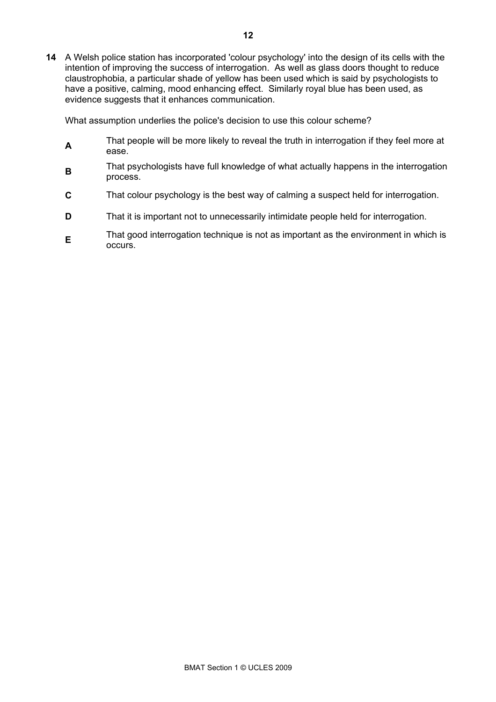**14** A Welsh police station has incorporated 'colour psychology' into the design of its cells with the intention of improving the success of interrogation. As well as glass doors thought to reduce claustrophobia, a particular shade of yellow has been used which is said by psychologists to have a positive, calming, mood enhancing effect. Similarly royal blue has been used, as evidence suggests that it enhances communication.

What assumption underlies the police's decision to use this colour scheme?

- **A** That people will be more likely to reveal the truth in interrogation if they feel more at ease.
- **B**That psychologists have full knowledge of what actually happens in the interrogation process.
- **C** That colour psychology is the best way of calming a suspect held for interrogation.
- **D** That it is important not to unnecessarily intimidate people held for interrogation.
- **E**That good interrogation technique is not as important as the environment in which is occurs.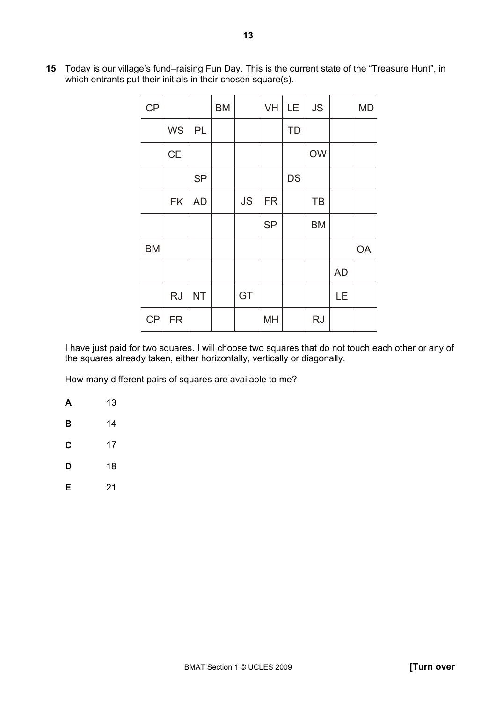| CP        |           |           | <b>BM</b> |           | VH        | LE        | <b>JS</b> |           | <b>MD</b> |
|-----------|-----------|-----------|-----------|-----------|-----------|-----------|-----------|-----------|-----------|
|           | <b>WS</b> | PL        |           |           |           | <b>TD</b> |           |           |           |
|           | CE        |           |           |           |           |           | <b>OW</b> |           |           |
|           |           | <b>SP</b> |           |           |           | <b>DS</b> |           |           |           |
|           | EK        | <b>AD</b> |           | <b>JS</b> | <b>FR</b> |           | TB        |           |           |
|           |           |           |           |           | <b>SP</b> |           | <b>BM</b> |           |           |
| <b>BM</b> |           |           |           |           |           |           |           |           | <b>OA</b> |
|           |           |           |           |           |           |           |           | <b>AD</b> |           |
|           | <b>RJ</b> | <b>NT</b> |           | GT        |           |           |           | LE        |           |
| <b>CP</b> | <b>FR</b> |           |           |           | <b>MH</b> |           | <b>RJ</b> |           |           |

15 Today is our village's fund-raising Fun Day. This is the current state of the "Treasure Hunt", in which entrants put their initials in their chosen square(s).

I have just paid for two squares. I will choose two squares that do not touch each other or any of the squares already taken, either horizontally, vertically or diagonally.

How many different pairs of squares are available to me?

**A** 13 **B** 14 **C** 17 **D** 18 **E** 21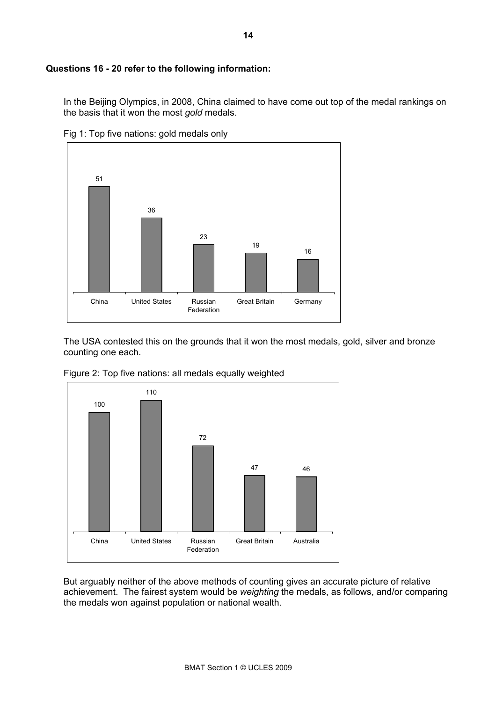#### **Questions 16 - 20 refer to the following information:**

In the Beijing Olympics, in 2008, China claimed to have come out top of the medal rankings on the basis that it won the most *gold* medals.



Fig 1: Top five nations: gold medals only

The USA contested this on the grounds that it won the most medals, gold, silver and bronze counting one each.



Figure 2: Top five nations: all medals equally weighted

But arguably neither of the above methods of counting gives an accurate picture of relative achievement. The fairest system would be *weighting* the medals, as follows, and/or comparing the medals won against population or national wealth.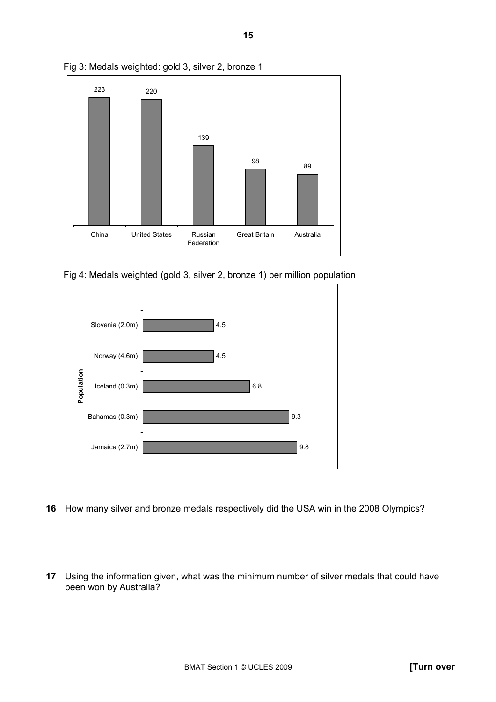

Fig 3: Medals weighted: gold 3, silver 2, bronze 1

Fig 4: Medals weighted (gold 3, silver 2, bronze 1) per million population



- **16** How many silver and bronze medals respectively did the USA win in the 2008 Olympics?
- **17** Using the information given, what was the minimum number of silver medals that could have been won by Australia?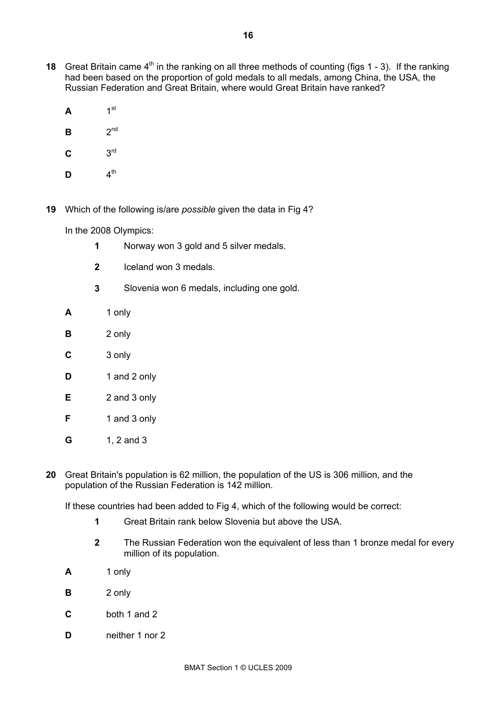- **18** Great Britain came 4<sup>th</sup> in the ranking on all three methods of counting (figs 1 3). If the ranking had been based on the proportion of gold medals to all medals, among China, the USA, the Russian Federation and Great Britain, where would Great Britain have ranked?
	- $A$  1<sup>st</sup>
	- $B$   $2^{nd}$
	- $C = 3<sup>rd</sup>$
	- $\mathbf{D}$   $4^{\text{th}}$
- **19** Which of the following is/are *possible* given the data in Fig 4?

In the 2008 Olympics:

- **1** Norway won 3 gold and 5 silver medals.
- **2** Iceland won 3 medals.
- **3** Slovenia won 6 medals, including one gold.
- **A** 1 only
- **B** 2 only
- **C** 3 only
- **D** 1 and 2 only
- **E** 2 and 3 only
- **F** 1 and 3 only
- **G** 1, 2 and 3
- **20** Great Britain's population is 62 million, the population of the US is 306 million, and the population of the Russian Federation is 142 million.

If these countries had been added to Fig 4, which of the following would be correct:

- **1** Great Britain rank below Slovenia but above the USA.
- **2** The Russian Federation won the equivalent of less than 1 bronze medal for every million of its population.
- **A** 1 only
- **B** 2 only
- **C** both 1 and 2
- **D neither** 1 nor 2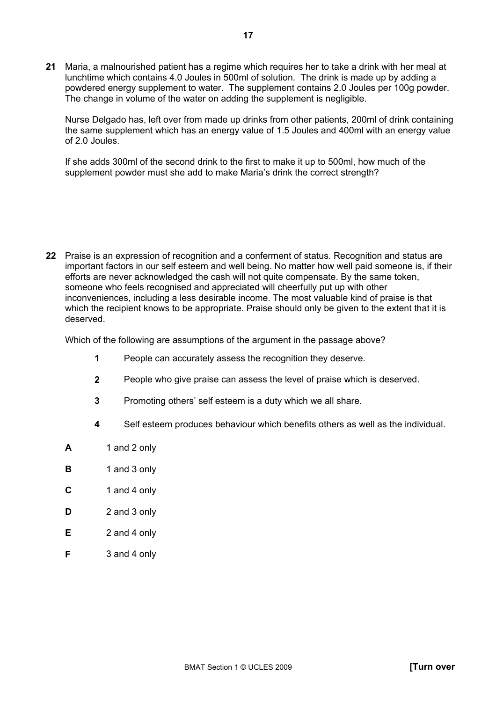**21** Maria, a malnourished patient has a regime which requires her to take a drink with her meal at lunchtime which contains 4.0 Joules in 500ml of solution. The drink is made up by adding a powdered energy supplement to water. The supplement contains 2.0 Joules per 100g powder. The change in volume of the water on adding the supplement is negligible.

Nurse Delgado has, left over from made up drinks from other patients, 200ml of drink containing the same supplement which has an energy value of 1.5 Joules and 400ml with an energy value of 2.0 Joules.

If she adds 300ml of the second drink to the first to make it up to 500ml, how much of the supplement powder must she add to make Maria's drink the correct strength?

**22** Praise is an expression of recognition and a conferment of status. Recognition and status are important factors in our self esteem and well being. No matter how well paid someone is, if their efforts are never acknowledged the cash will not quite compensate. By the same token, someone who feels recognised and appreciated will cheerfully put up with other inconveniences, including a less desirable income. The most valuable kind of praise is that which the recipient knows to be appropriate. Praise should only be given to the extent that it is deserved.

Which of the following are assumptions of the argument in the passage above?

- **1** People can accurately assess the recognition they deserve.
- **2** People who give praise can assess the level of praise which is deserved.
- **3** Promoting othersí self esteem is a duty which we all share.
- **4** Self esteem produces behaviour which benefits others as well as the individual.
- **A** 1 and 2 only
- **B** 1 and 3 only
- **C** 1 and 4 only
- **D** 2 and 3 only
- **E** 2 and 4 only
- **F** 3 and 4 only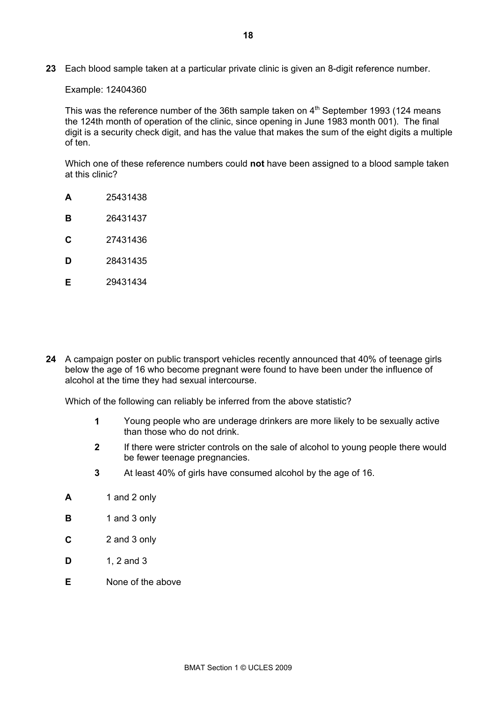**23** Each blood sample taken at a particular private clinic is given an 8-digit reference number.

#### Example: 12404360

This was the reference number of the 36th sample taken on  $4<sup>th</sup>$  September 1993 (124 means the 124th month of operation of the clinic, since opening in June 1983 month 001). The final digit is a security check digit, and has the value that makes the sum of the eight digits a multiple of ten.

Which one of these reference numbers could **not** have been assigned to a blood sample taken at this clinic?

- **A** 25431438
- **B** 26431437
- **C** 27431436
- **D** 28431435
- **E** 29431434
- **24** A campaign poster on public transport vehicles recently announced that 40% of teenage girls below the age of 16 who become pregnant were found to have been under the influence of alcohol at the time they had sexual intercourse.

Which of the following can reliably be inferred from the above statistic?

- **1** Young people who are underage drinkers are more likely to be sexually active than those who do not drink.
- **2** If there were stricter controls on the sale of alcohol to young people there would be fewer teenage pregnancies.
- **3** At least 40% of girls have consumed alcohol by the age of 16.
- **A** 1 and 2 only
- **B** 1 and 3 only
- **C** 2 and 3 only
- **D** 1, 2 and 3
- **E** None of the above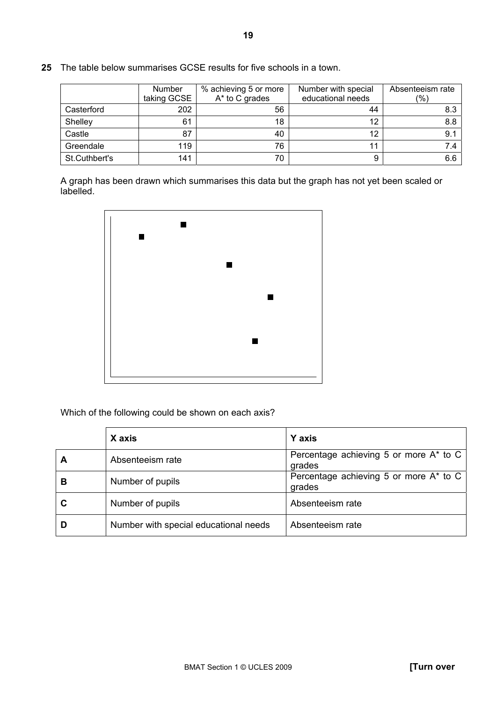|               | <b>Number</b><br>taking GCSE | % achieving 5 or more<br>A* to C grades | Number with special<br>educational needs | Absenteeism rate<br>(%) |
|---------------|------------------------------|-----------------------------------------|------------------------------------------|-------------------------|
| Casterford    | 202                          | 56                                      | 44                                       | 8.3                     |
| Shelley       | 61                           | 18                                      | 12                                       | 8.8                     |
| Castle        | 87                           | 40                                      | 12                                       | 9.1                     |
| Greendale     | 119                          | 76                                      |                                          | 7.4                     |
| St.Cuthbert's | 141                          | 70                                      |                                          | 6.6                     |

**25** The table below summarises GCSE results for five schools in a town.

A graph has been drawn which summarises this data but the graph has not yet been scaled or labelled.



Which of the following could be shown on each axis?

|   | X axis                                | <b>Y</b> axis                                    |
|---|---------------------------------------|--------------------------------------------------|
| A | Absenteeism rate                      | Percentage achieving 5 or more A* to C<br>grades |
| В | Number of pupils                      | Percentage achieving 5 or more A* to C<br>grades |
| C | Number of pupils                      | Absenteeism rate                                 |
|   | Number with special educational needs | Absenteeism rate                                 |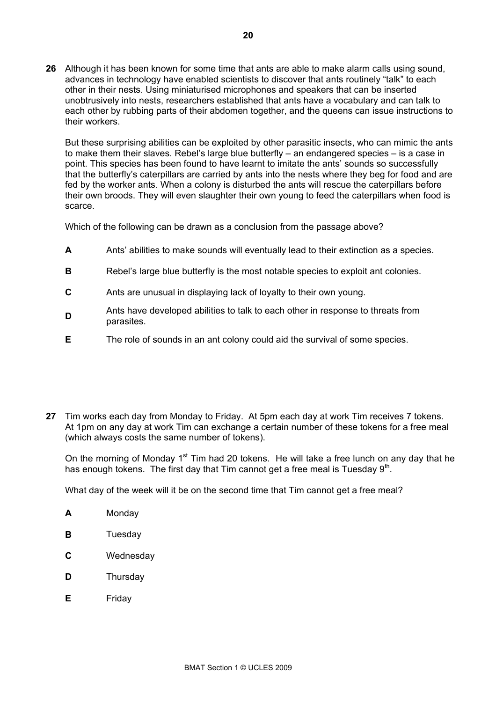**26** Although it has been known for some time that ants are able to make alarm calls using sound, advances in technology have enabled scientists to discover that ants routinely "talk" to each other in their nests. Using miniaturised microphones and speakers that can be inserted unobtrusively into nests, researchers established that ants have a vocabulary and can talk to each other by rubbing parts of their abdomen together, and the queens can issue instructions to their workers.

But these surprising abilities can be exploited by other parasitic insects, who can mimic the ants to make them their slaves. Rebel's large blue butterfly – an endangered species – is a case in point. This species has been found to have learnt to imitate the ants' sounds so successfully that the butterflyís caterpillars are carried by ants into the nests where they beg for food and are fed by the worker ants. When a colony is disturbed the ants will rescue the caterpillars before their own broods. They will even slaughter their own young to feed the caterpillars when food is scarce.

Which of the following can be drawn as a conclusion from the passage above?

- **A** Antsí abilities to make sounds will eventually lead to their extinction as a species.
- **B** Rebel's large blue butterfly is the most notable species to exploit ant colonies.
- **C** Ants are unusual in displaying lack of loyalty to their own young.
- **D**<br>Ants have developed abilities to talk to each other in response to threats from parasites.
- **E** The role of sounds in an ant colony could aid the survival of some species.
- **27** Tim works each day from Monday to Friday. At 5pm each day at work Tim receives 7 tokens. At 1pm on any day at work Tim can exchange a certain number of these tokens for a free meal (which always costs the same number of tokens).

On the morning of Monday 1<sup>st</sup> Tim had 20 tokens. He will take a free lunch on any day that he has enough tokens. The first day that Tim cannot get a free meal is Tuesday  $9<sup>th</sup>$ .

What day of the week will it be on the second time that Tim cannot get a free meal?

- **A** Monday
- **B** Tuesday
- **C** Wednesday
- **D** Thursday
- **E** Friday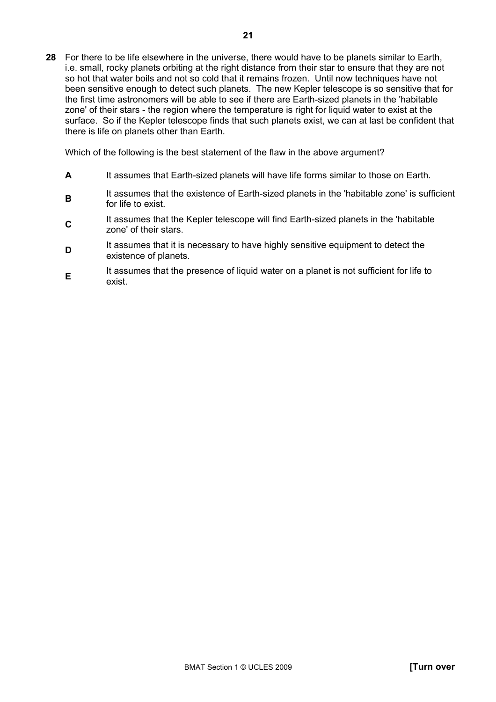**28** For there to be life elsewhere in the universe, there would have to be planets similar to Earth, i.e. small, rocky planets orbiting at the right distance from their star to ensure that they are not so hot that water boils and not so cold that it remains frozen. Until now techniques have not been sensitive enough to detect such planets. The new Kepler telescope is so sensitive that for the first time astronomers will be able to see if there are Earth-sized planets in the 'habitable zone' of their stars - the region where the temperature is right for liquid water to exist at the surface. So if the Kepler telescope finds that such planets exist, we can at last be confident that there is life on planets other than Earth.

Which of the following is the best statement of the flaw in the above argument?

- **A** It assumes that Earth-sized planets will have life forms similar to those on Earth.
- **B**It assumes that the existence of Earth-sized planets in the 'habitable zone' is sufficient for life to exist.
- **C**It assumes that the Kepler telescope will find Earth-sized planets in the 'habitable zone' of their stars.
- **D** It assumes that it is necessary to have highly sensitive equipment to detect the existence of planets.
- **E**<br>It assumes that the presence of liquid water on a planet is not sufficient for life to exist.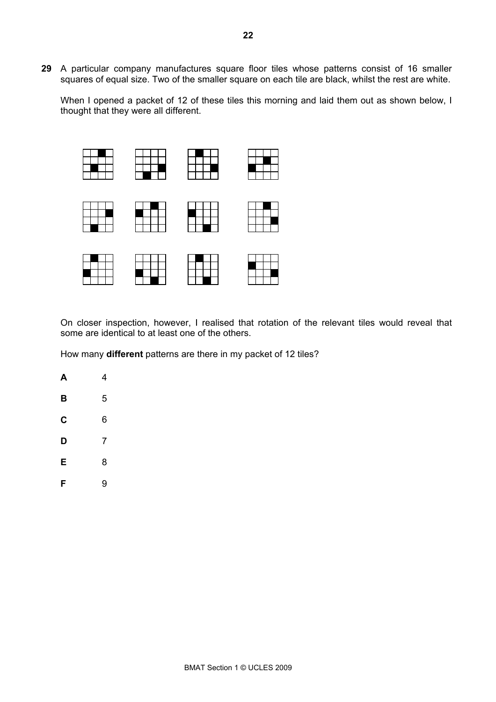**29** A particular company manufactures square floor tiles whose patterns consist of 16 smaller squares of equal size. Two of the smaller square on each tile are black, whilst the rest are white.

When I opened a packet of 12 of these tiles this morning and laid them out as shown below, I thought that they were all different.



On closer inspection, however, I realised that rotation of the relevant tiles would reveal that some are identical to at least one of the others.

How many **different** patterns are there in my packet of 12 tiles?

**A** 4 **B** 5 **C** 6 **D** 7 **E** 8 **F** 9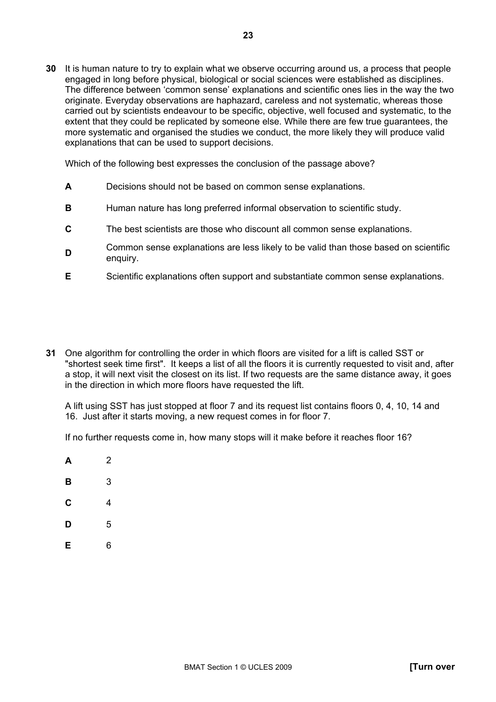**30** It is human nature to try to explain what we observe occurring around us, a process that people engaged in long before physical, biological or social sciences were established as disciplines. The difference between 'common sense' explanations and scientific ones lies in the way the two originate. Everyday observations are haphazard, careless and not systematic, whereas those carried out by scientists endeavour to be specific, objective, well focused and systematic, to the extent that they could be replicated by someone else. While there are few true guarantees, the more systematic and organised the studies we conduct, the more likely they will produce valid explanations that can be used to support decisions.

Which of the following best expresses the conclusion of the passage above?

- **A** Decisions should not be based on common sense explanations.
- **B** Human nature has long preferred informal observation to scientific study.
- **C** The best scientists are those who discount all common sense explanations.
- **D** Common sense explanations are less likely to be valid than those based on scientific enquiry.
- **E** Scientific explanations often support and substantiate common sense explanations.
- **31** One algorithm for controlling the order in which floors are visited for a lift is called SST or "shortest seek time first". It keeps a list of all the floors it is currently requested to visit and, after a stop, it will next visit the closest on its list. If two requests are the same distance away, it goes in the direction in which more floors have requested the lift.

A lift using SST has just stopped at floor 7 and its request list contains floors 0, 4, 10, 14 and 16. Just after it starts moving, a new request comes in for floor 7.

If no further requests come in, how many stops will it make before it reaches floor 16?

- **A** 2
- **B** 3
- **C** 4
- **D** 5
- **E** 6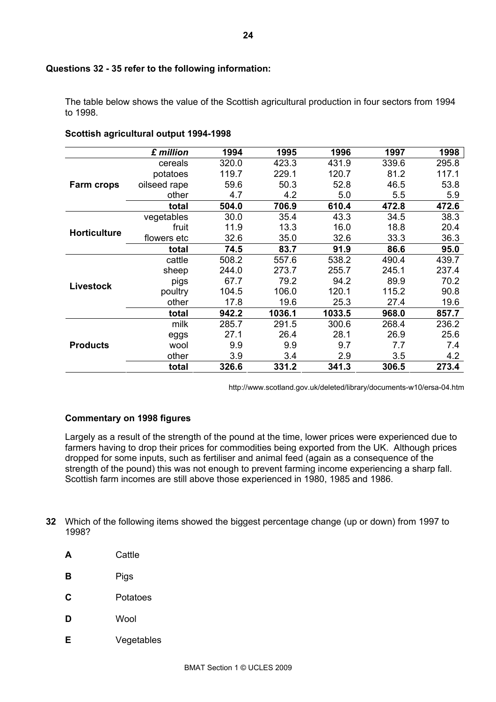#### **Questions 32 - 35 refer to the following information:**

The table below shows the value of the Scottish agricultural production in four sectors from 1994 to 1998.

|                     | £ million    | 1994  | 1995   | 1996   | 1997  | 1998  |
|---------------------|--------------|-------|--------|--------|-------|-------|
|                     | cereals      | 320.0 | 423.3  | 431.9  | 339.6 | 295.8 |
|                     | potatoes     | 119.7 | 229.1  | 120.7  | 81.2  | 117.1 |
| <b>Farm crops</b>   | oilseed rape | 59.6  | 50.3   | 52.8   | 46.5  | 53.8  |
|                     | other        | 4.7   | 4.2    | 5.0    | 5.5   | 5.9   |
|                     | total        | 504.0 | 706.9  | 610.4  | 472.8 | 472.6 |
|                     | vegetables   | 30.0  | 35.4   | 43.3   | 34.5  | 38.3  |
| <b>Horticulture</b> | fruit        | 11.9  | 13.3   | 16.0   | 18.8  | 20.4  |
|                     | flowers etc  | 32.6  | 35.0   | 32.6   | 33.3  | 36.3  |
|                     | total        | 74.5  | 83.7   | 91.9   | 86.6  | 95.0  |
|                     | cattle       | 508.2 | 557.6  | 538.2  | 490.4 | 439.7 |
|                     | sheep        | 244.0 | 273.7  | 255.7  | 245.1 | 237.4 |
| <b>Livestock</b>    | pigs         | 67.7  | 79.2   | 94.2   | 89.9  | 70.2  |
|                     | poultry      | 104.5 | 106.0  | 120.1  | 115.2 | 90.8  |
|                     | other        | 17.8  | 19.6   | 25.3   | 27.4  | 19.6  |
|                     | total        | 942.2 | 1036.1 | 1033.5 | 968.0 | 857.7 |
| <b>Products</b>     | milk         | 285.7 | 291.5  | 300.6  | 268.4 | 236.2 |
|                     | eggs         | 27.1  | 26.4   | 28.1   | 26.9  | 25.6  |
|                     | wool         | 9.9   | 9.9    | 9.7    | 7.7   | 7.4   |
|                     | other        | 3.9   | 3.4    | 2.9    | 3.5   | 4.2   |
|                     | total        | 326.6 | 331.2  | 341.3  | 306.5 | 273.4 |

#### **Scottish agricultural output 1994-1998**

http://www.scotland.gov.uk/deleted/library/documents-w10/ersa-04.htm

#### **Commentary on 1998 figures**

Largely as a result of the strength of the pound at the time, lower prices were experienced due to farmers having to drop their prices for commodities being exported from the UK. Although prices dropped for some inputs, such as fertiliser and animal feed (again as a consequence of the strength of the pound) this was not enough to prevent farming income experiencing a sharp fall. Scottish farm incomes are still above those experienced in 1980, 1985 and 1986.

- **32** Which of the following items showed the biggest percentage change (up or down) from 1997 to 1998?
	- **A** Cattle
	- **B** Pigs
	- **C** Potatoes
	- **D** Wool
	- **E** Vegetables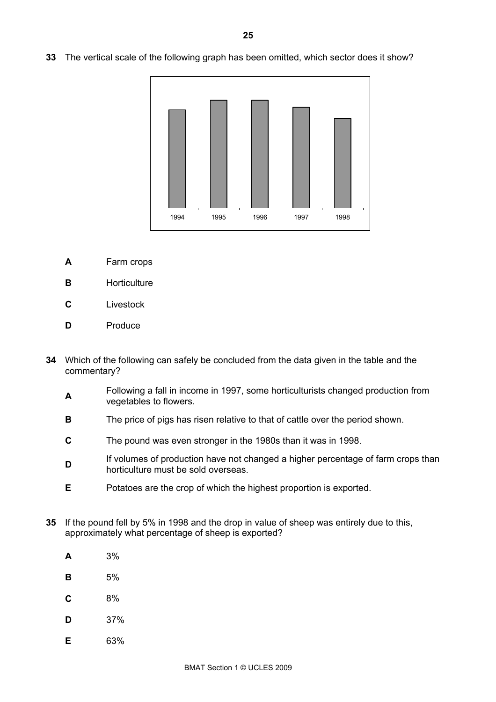- 1994 1995 1996 1997 1998
- **33** The vertical scale of the following graph has been omitted, which sector does it show?

- **A** Farm crops
- **B Horticulture**
- **C** Livestock
- **D** Produce
- **34** Which of the following can safely be concluded from the data given in the table and the commentary?
	- **A**Following a fall in income in 1997, some horticulturists changed production from vegetables to flowers.
	- **B** The price of pigs has risen relative to that of cattle over the period shown.
	- **C** The pound was even stronger in the 1980s than it was in 1998.
	- **D** If volumes of production have not changed a higher percentage of farm crops than horticulture must be sold overseas.
	- **E** Potatoes are the crop of which the highest proportion is exported.
- **35** If the pound fell by 5% in 1998 and the drop in value of sheep was entirely due to this, approximately what percentage of sheep is exported?
	- **A** 3%
	- **B** 5%
	- **C** 8%
	- **D** 37%
	- **E** 63%